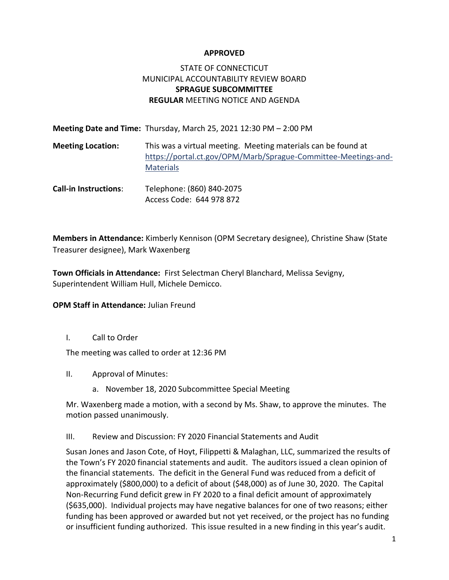#### **APPROVED**

# STATE OF CONNECTICUT MUNICIPAL ACCOUNTABILITY REVIEW BOARD **SPRAGUE SUBCOMMITTEE REGULAR** MEETING NOTICE AND AGENDA

|                              | <b>Meeting Date and Time:</b> Thursday, March 25, 2021 12:30 PM $-$ 2:00 PM                                                                         |
|------------------------------|-----------------------------------------------------------------------------------------------------------------------------------------------------|
| <b>Meeting Location:</b>     | This was a virtual meeting. Meeting materials can be found at<br>https://portal.ct.gov/OPM/Marb/Sprague-Committee-Meetings-and-<br><b>Materials</b> |
| <b>Call-in Instructions:</b> | Telephone: (860) 840-2075<br>Access Code: 644 978 872                                                                                               |

**Members in Attendance:** Kimberly Kennison (OPM Secretary designee), Christine Shaw (State Treasurer designee), Mark Waxenberg

**Town Officials in Attendance:** First Selectman Cheryl Blanchard, Melissa Sevigny, Superintendent William Hull, Michele Demicco.

#### **OPM Staff in Attendance:** Julian Freund

I. Call to Order

The meeting was called to order at 12:36 PM

- II. Approval of Minutes:
	- a. November 18, 2020 Subcommittee Special Meeting

Mr. Waxenberg made a motion, with a second by Ms. Shaw, to approve the minutes. The motion passed unanimously.

III. Review and Discussion: FY 2020 Financial Statements and Audit

Susan Jones and Jason Cote, of Hoyt, Filippetti & Malaghan, LLC, summarized the results of the Town's FY 2020 financial statements and audit. The auditors issued a clean opinion of the financial statements. The deficit in the General Fund was reduced from a deficit of approximately (\$800,000) to a deficit of about (\$48,000) as of June 30, 2020. The Capital Non-Recurring Fund deficit grew in FY 2020 to a final deficit amount of approximately (\$635,000). Individual projects may have negative balances for one of two reasons; either funding has been approved or awarded but not yet received, or the project has no funding or insufficient funding authorized. This issue resulted in a new finding in this year's audit.